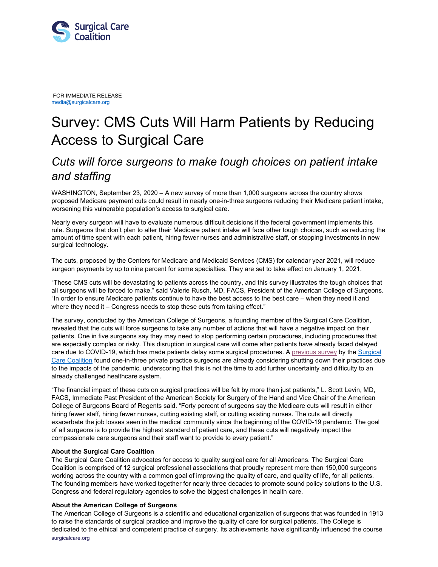

FOR IMMEDIATE [RELEA](mailto:media@surgicalcare.org)SE [media@surgicalcare.org](mailto:media@surgicalcare.org)

## Survey: CMS Cuts Will Harm Patients by Reducing Access to Surgical Care

## *Cuts will force surgeons to make tough choices on patient intake and staffing*

WASHINGTON, September 23, 2020 – A new survey of more than 1,000 surgeons across the country shows proposed Medicare payment cuts could result in nearly one-in-three surgeons reducing their Medicare patient intake, worsening this vulnerable population's access to surgical care.

Nearly every surgeon will have to evaluate numerous difficult decisions if the federal government implements this rule. Surgeons that don't plan to alter their Medicare patient intake will face other tough choices, such as reducing the amount of time spent with each patient, hiring fewer nurses and administrative staff, or stopping investments in new surgical technology.

The cuts, proposed by the Centers for Medicare and Medicaid Services (CMS) for calendar year 2021, will reduce surgeon payments by up to nine percent for some specialties. They are set to take effect on January 1, 2021.

"These CMS cuts will be devastating to patients across the country, and this survey illustrates the tough choices that all surgeons will be forced to make," said Valerie Rusch, MD, FACS, President of the American College of Surgeons. "In order to ensure Medicare patients continue to have the best access to the best care – when they need it and where they need it – Congress needs to stop these cuts from taking effect."

The survey, conducted by the American College of Surgeons, a founding member of the Surgical Care Coalition, revealed that the cuts will force surgeons to take any number of actions that will have a negative impact on their patients. One in five surgeons say they may need to stop performing certain procedures, including procedures that are especially complex or risky. This disruption in surgical care will come after patients have already faced delayed care due to COVID-19, which has made patients delay some surgical procedures. A [previous survey](https://www.prnewswire.com/news-releases/new-coalition-launches-to-oppose-medicare-cuts-that-hurt-patients-and-limit-access-to-surgical-care-301079151.html) by th[e Surgical](https://www.surgicalcare.org/)  [Care Coalition](https://www.surgicalcare.org/) found one-in-three private practice surgeons are already considering shutting down their practices due to the impacts of the pandemic, underscoring that this is not the time to add further uncertainty and difficulty to an already challenged healthcare system.

"The financial impact of these cuts on surgical practices will be felt by more than just patients," L. Scott Levin, MD, FACS, Immediate Past President of the American Society for Surgery of the Hand and Vice Chair of the American College of Surgeons Board of Regents said. "Forty percent of surgeons say the Medicare cuts will result in either hiring fewer staff, hiring fewer nurses, cutting existing staff, or cutting existing nurses. The cuts will directly exacerbate the job losses seen in the medical community since the beginning of the COVID-19 pandemic. The goal of all surgeons is to provide the highest standard of patient care, and these cuts will negatively impact the compassionate care surgeons and their staff want to provide to every patient."

## **About the Surgical Care Coalition**

The Surgical Care Coalition advocates for access to quality surgical care for all Americans. The Surgical Care Coalition is comprised of 12 surgical professional associations that proudly represent more than 150,000 surgeons working across the country with a common goal of improving the quality of care, and quality of life, for all patients. The founding members have worked together for nearly three decades to promote sound policy solutions to the U.S. Congress and federal regulatory agencies to solve the biggest challenges in health care.

## **About the American College of Surgeons**

surgicalcare.org The American College of Surgeons is a scientific and educational organization of surgeons that was founded in 1913 to raise the standards of surgical practice and improve the quality of care for surgical patients. The College is dedicated to the ethical and competent practice of surgery. Its achievements have significantly influenced the course